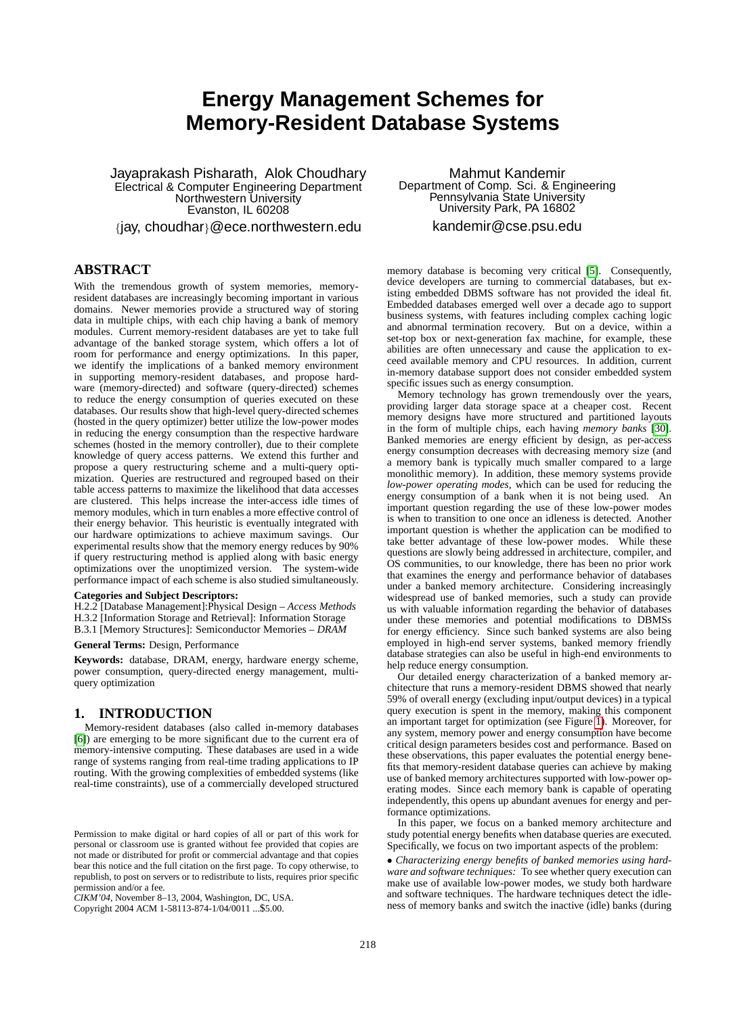# **Energy Management Schemes for Memory-Resident Database Systems**

Jayaprakash Pisharath, Alok Choudhary Electrical & Computer Engineering Department Northwestern University Evanston, IL 60208

{jay, choudhar}@ece.northwestern.edu

# **ABSTRACT**

With the tremendous growth of system memories, memoryresident databases are increasingly becoming important in various domains. Newer memories provide a structured way of storing data in multiple chips, with each chip having a bank of memory modules. Current memory-resident databases are yet to take full advantage of the banked storage system, which offers a lot of room for performance and energy optimizations. In this paper, we identify the implications of a banked memory environment in supporting memory-resident databases, and propose hardware (memory-directed) and software (query-directed) schemes to reduce the energy consumption of queries executed on these databases. Our results show that high-level query-directed schemes (hosted in the query optimizer) better utilize the low-power modes in reducing the energy consumption than the respective hardware schemes (hosted in the memory controller), due to their complete knowledge of query access patterns. We extend this further and propose a query restructuring scheme and a multi-query optimization. Queries are restructured and regrouped based on their table access patterns to maximize the likelihood that data accesses are clustered. This helps increase the inter-access idle times of memory modules, which in turn enables a more effective control of their energy behavior. This heuristic is eventually integrated with our hardware optimizations to achieve maximum savings. Our experimental results show that the memory energy reduces by 90% if query restructuring method is applied along with basic energy optimizations over the unoptimized version. The system-wide performance impact of each scheme is also studied simultaneously.

### **Categories and Subject Descriptors:**

H.2.2 [Database Management]:Physical Design – *Access Methods* H.3.2 [Information Storage and Retrieval]: Information Storage B.3.1 [Memory Structures]: Semiconductor Memories – *DRAM*

**General Terms:** Design, Performance

**Keywords:** database, DRAM, energy, hardware energy scheme, power consumption, query-directed energy management, multiquery optimization

# **1. INTRODUCTION**

Memory-resident databases (also called in-memory databases [\[6\]](#page-9-0)) are emerging to be more significant due to the current era of memory-intensive computing. These databases are used in a wide range of systems ranging from real-time trading applications to IP routing. With the growing complexities of embedded systems (like real-time constraints), use of a commercially developed structured

Copyright 2004 ACM 1-58113-874-1/04/0011 ...\$5.00.

Mahmut Kandemir Department of Comp. Sci. & Engineering Pennsylvania State University University Park, PA 16802 kandemir@cse.psu.edu

memory database is becoming very critical [\[5\]](#page-9-1). Consequently, device developers are turning to commercial databases, but existing embedded DBMS software has not provided the ideal fit. Embedded databases emerged well over a decade ago to support business systems, with features including complex caching logic and abnormal termination recovery. But on a device, within a set-top box or next-generation fax machine, for example, these abilities are often unnecessary and cause the application to exceed available memory and CPU resources. In addition, current in-memory database support does not consider embedded system specific issues such as energy consumption.

Memory technology has grown tremendously over the years, providing larger data storage space at a cheaper cost. Recent memory designs have more structured and partitioned layouts in the form of multiple chips, each having *memory banks* [\[30\]](#page-9-2). Banked memories are energy efficient by design, as per-access energy consumption decreases with decreasing memory size (and a memory bank is typically much smaller compared to a large monolithic memory). In addition, these memory systems provide *low-power operating modes,* which can be used for reducing the energy consumption of a bank when it is not being used. An important question regarding the use of these low-power modes is when to transition to one once an idleness is detected. Another important question is whether the application can be modified to take better advantage of these low-power modes. While these questions are slowly being addressed in architecture, compiler, and OS communities, to our knowledge, there has been no prior work that examines the energy and performance behavior of databases under a banked memory architecture. Considering increasingly widespread use of banked memories, such a study can provide us with valuable information regarding the behavior of databases under these memories and potential modifications to DBMSs for energy efficiency. Since such banked systems are also being employed in high-end server systems, banked memory friendly database strategies can also be useful in high-end environments to help reduce energy consumption.

Our detailed energy characterization of a banked memory architecture that runs a memory-resident DBMS showed that nearly 59% of overall energy (excluding input/output devices) in a typical query execution is spent in the memory, making this component an important target for optimization (see Figure [1\)](#page-1-0). Moreover, for any system, memory power and energy consumption have become critical design parameters besides cost and performance. Based on these observations, this paper evaluates the potential energy benefits that memory-resident database queries can achieve by making use of banked memory architectures supported with low-power operating modes. Since each memory bank is capable of operating independently, this opens up abundant avenues for energy and performance optimizations.

In this paper, we focus on a banked memory architecture and study potential energy benefits when database queries are executed. Specifically, we focus on two important aspects of the problem:

• *Characterizing energy benefits of banked memories using hardware and software techniques:* To see whether query execution can make use of available low-power modes, we study both hardware and software techniques. The hardware techniques detect the idleness of memory banks and switch the inactive (idle) banks (during

Permission to make digital or hard copies of all or part of this work for personal or classroom use is granted without fee provided that copies are not made or distributed for profit or commercial advantage and that copies bear this notice and the full citation on the first page. To copy otherwise, to republish, to post on servers or to redistribute to lists, requires prior specific permission and/or a fee.

*CIKM'04,* November 8–13, 2004, Washington, DC, USA.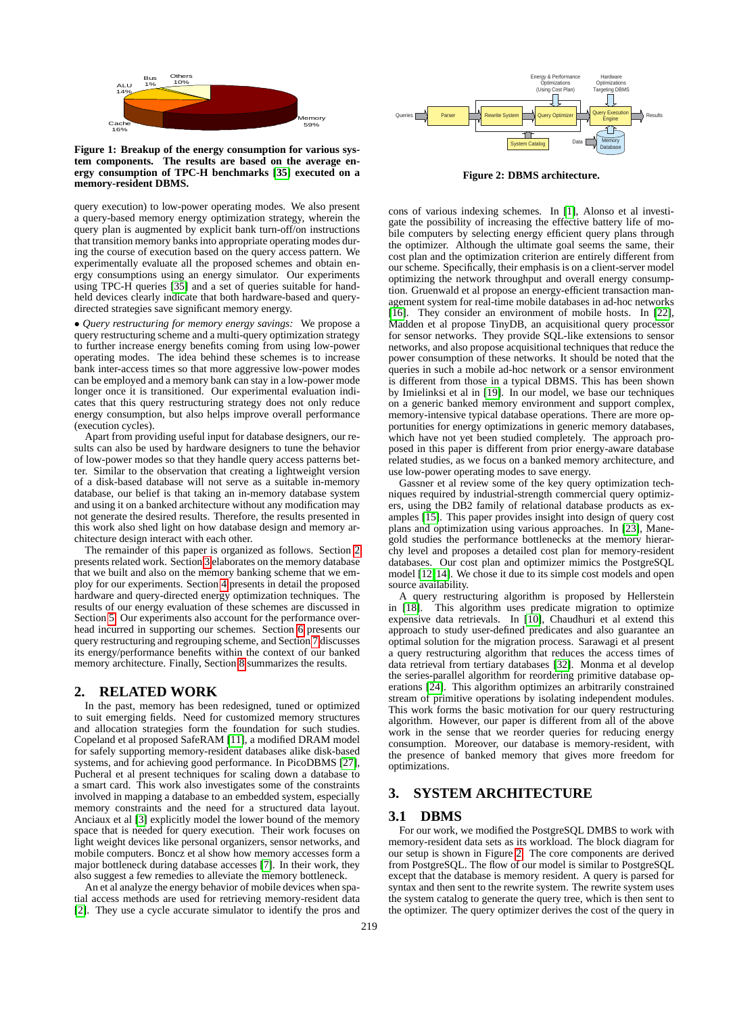

<span id="page-1-0"></span>**Figure 1: Breakup of the energy consumption for various system components. The results are based on the average energy consumption of TPC-H benchmarks [\[35\]](#page-9-3) executed on a memory-resident DBMS.**

query execution) to low-power operating modes. We also present a query-based memory energy optimization strategy, wherein the query plan is augmented by explicit bank turn-off/on instructions that transition memory banks into appropriate operating modes during the course of execution based on the query access pattern. We experimentally evaluate all the proposed schemes and obtain energy consumptions using an energy simulator. Our experiments using TPC-H queries [\[35\]](#page-9-3) and a set of queries suitable for handheld devices clearly indicate that both hardware-based and querydirected strategies save significant memory energy.

• *Query restructuring for memory energy savings:* We propose a query restructuring scheme and a multi-query optimization strategy to further increase energy benefits coming from using low-power operating modes. The idea behind these schemes is to increase bank inter-access times so that more aggressive low-power modes can be employed and a memory bank can stay in a low-power mode longer once it is transitioned. Our experimental evaluation indicates that this query restructuring strategy does not only reduce energy consumption, but also helps improve overall performance (execution cycles).

Apart from providing useful input for database designers, our results can also be used by hardware designers to tune the behavior of low-power modes so that they handle query access patterns better. Similar to the observation that creating a lightweight version of a disk-based database will not serve as a suitable in-memory database, our belief is that taking an in-memory database system and using it on a banked architecture without any modification may not generate the desired results. Therefore, the results presented in this work also shed light on how database design and memory architecture design interact with each other.

The remainder of this paper is organized as follows. Section [2](#page-1-1) presents related work. Section [3](#page-1-2) elaborates on the memory database that we built and also on the memory banking scheme that we employ for our experiments. Section [4](#page-2-0) presents in detail the proposed hardware and query-directed energy optimization techniques. The results of our energy evaluation of these schemes are discussed in Section [5.](#page-4-0) Our experiments also account for the performance overhead incurred in supporting our schemes. Section [6](#page-6-0) presents our query restructuring and regrouping scheme, and Section [7](#page-7-0) discusses its energy/performance benefits within the context of our banked memory architecture. Finally, Section [8](#page-9-4) summarizes the results.

### <span id="page-1-1"></span>**2. RELATED WORK**

In the past, memory has been redesigned, tuned or optimized to suit emerging fields. Need for customized memory structures and allocation strategies form the foundation for such studies. Copeland et al proposed SafeRAM [\[11\]](#page-9-5), a modified DRAM model for safely supporting memory-resident databases alike disk-based systems, and for achieving good performance. In PicoDBMS [\[27\]](#page-9-6), Pucheral et al present techniques for scaling down a database to a smart card. This work also investigates some of the constraints involved in mapping a database to an embedded system, especially memory constraints and the need for a structured data layout. Anciaux et al [\[3\]](#page-9-7) explicitly model the lower bound of the memory space that is needed for query execution. Their work focuses on light weight devices like personal organizers, sensor networks, and mobile computers. Boncz et al show how memory accesses form a major bottleneck during database accesses [\[7\]](#page-9-8). In their work, they also suggest a few remedies to alleviate the memory bottleneck.

An et al analyze the energy behavior of mobile devices when spatial access methods are used for retrieving memory-resident data [\[2\]](#page-9-9). They use a cycle accurate simulator to identify the pros and



<span id="page-1-3"></span>**Figure 2: DBMS architecture.**

cons of various indexing schemes. In [\[1\]](#page-9-10), Alonso et al investigate the possibility of increasing the effective battery life of mobile computers by selecting energy efficient query plans through the optimizer. Although the ultimate goal seems the same, their cost plan and the optimization criterion are entirely different from our scheme. Specifically, their emphasis is on a client-server model optimizing the network throughput and overall energy consumption. Gruenwald et al propose an energy-efficient transaction management system for real-time mobile databases in ad-hoc networks [\[16\]](#page-9-11). They consider an environment of mobile hosts. In [\[22\]](#page-9-12), Madden et al propose TinyDB, an acquisitional query processor for sensor networks. They provide SQL-like extensions to sensor networks, and also propose acquisitional techniques that reduce the power consumption of these networks. It should be noted that the queries in such a mobile ad-hoc network or a sensor environment is different from those in a typical DBMS. This has been shown by Imielinksi et al in [\[19\]](#page-9-13). In our model, we base our techniques on a generic banked memory environment and support complex, memory-intensive typical database operations. There are more opportunities for energy optimizations in generic memory databases, which have not yet been studied completely. The approach proposed in this paper is different from prior energy-aware database related studies, as we focus on a banked memory architecture, and use low-power operating modes to save energy.

Gassner et al review some of the key query optimization techniques required by industrial-strength commercial query optimizers, using the DB2 family of relational database products as examples [\[15\]](#page-9-14). This paper provides insight into design of query cost plans and optimization using various approaches. In [\[23\]](#page-9-15), Manegold studies the performance bottlenecks at the memory hierarchy level and proposes a detailed cost plan for memory-resident databases. Our cost plan and optimizer mimics the PostgreSQL model [\[12,](#page-9-16)[14\]](#page-9-17). We chose it due to its simple cost models and open source availability.

A query restructuring algorithm is proposed by Hellerstein in [\[18\]](#page-9-18). This algorithm uses predicate migration to optimize expensive data retrievals. In [\[10\]](#page-9-19), Chaudhuri et al extend this approach to study user-defined predicates and also guarantee an optimal solution for the migration process. Sarawagi et al present a query restructuring algorithm that reduces the access times of data retrieval from tertiary databases [\[32\]](#page-9-20). Monma et al develop the series-parallel algorithm for reordering primitive database operations [\[24\]](#page-9-21). This algorithm optimizes an arbitrarily constrained stream of primitive operations by isolating independent modules. This work forms the basic motivation for our query restructuring algorithm. However, our paper is different from all of the above work in the sense that we reorder queries for reducing energy consumption. Moreover, our database is memory-resident, with the presence of banked memory that gives more freedom for optimizations.

# <span id="page-1-2"></span>**3. SYSTEM ARCHITECTURE**

# <span id="page-1-4"></span>**3.1 DBMS**

For our work, we modified the PostgreSQL DMBS to work with memory-resident data sets as its workload. The block diagram for our setup is shown in Figure [2.](#page-1-3) The core components are derived from PostgreSQL. The flow of our model is similar to PostgreSQL except that the database is memory resident. A query is parsed for syntax and then sent to the rewrite system. The rewrite system uses the system catalog to generate the query tree, which is then sent to the optimizer. The query optimizer derives the cost of the query in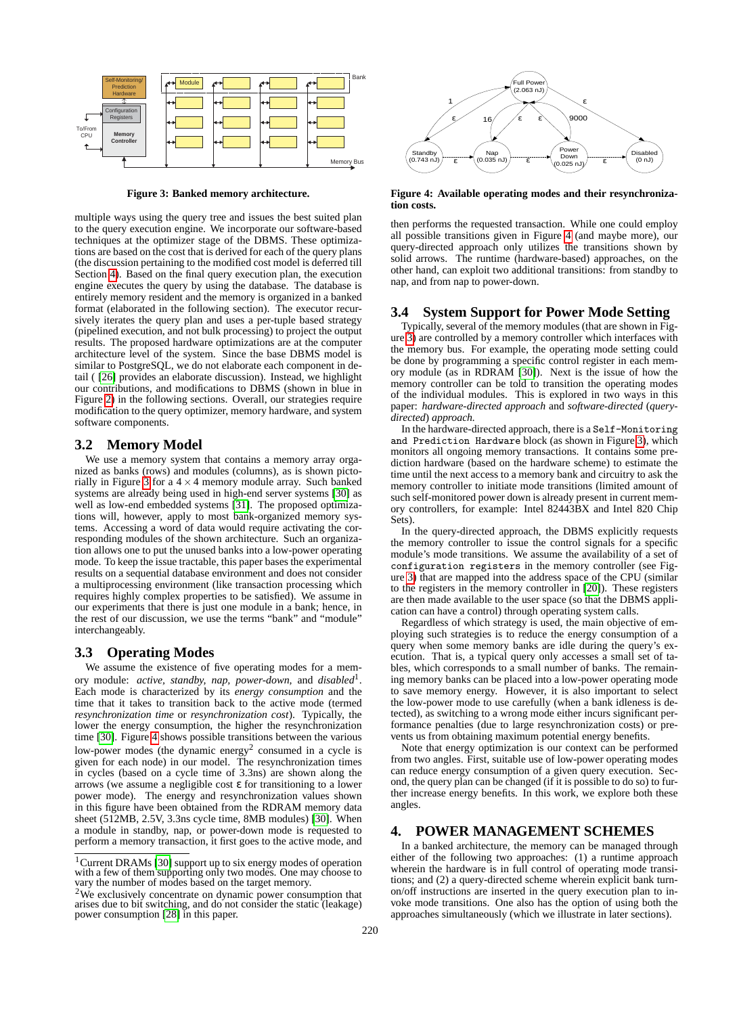

<span id="page-2-2"></span>**Figure 3: Banked memory architecture.**

multiple ways using the query tree and issues the best suited plan to the query execution engine. We incorporate our software-based techniques at the optimizer stage of the DBMS. These optimizations are based on the cost that is derived for each of the query plans (the discussion pertaining to the modified cost model is deferred till Section [4\)](#page-2-1). Based on the final query execution plan, the execution engine executes the query by using the database. The database is entirely memory resident and the memory is organized in a banked format (elaborated in the following section). The executor recursively iterates the query plan and uses a per-tuple based strategy (pipelined execution, and not bulk processing) to project the output results. The proposed hardware optimizations are at the computer architecture level of the system. Since the base DBMS model is similar to PostgreSQL, we do not elaborate each component in detail ( [\[26\]](#page-9-22) provides an elaborate discussion). Instead, we highlight our contributions, and modifications to DBMS (shown in blue in Figure [2\)](#page-1-3) in the following sections. Overall, our strategies require modification to the query optimizer, memory hardware, and system software components.

### **3.2 Memory Model**

We use a memory system that contains a memory array organized as banks (rows) and modules (columns), as is shown picto-rially in Figure [3](#page-2-2) for a  $4 \times 4$  memory module array. Such banked systems are already being used in high-end server systems [\[30\]](#page-9-23) as well as low-end embedded systems [\[31\]](#page-9-24). The proposed optimizations will, however, apply to most bank-organized memory systems. Accessing a word of data would require activating the corresponding modules of the shown architecture. Such an organization allows one to put the unused banks into a low-power operating mode. To keep the issue tractable, this paper bases the experimental results on a sequential database environment and does not consider a multiprocessing environment (like transaction processing which requires highly complex properties to be satisfied). We assume in our experiments that there is just one module in a bank; hence, in the rest of our discussion, we use the terms "bank" and "module" interchangeably.

# **3.3 Operating Modes**

We assume the existence of five operating modes for a memory module: *active, standby, nap, power-down,* and *disabled*<sup>1</sup> . Each mode is characterized by its *energy consumption* and the time that it takes to transition back to the active mode (termed *resynchronization time* or *resynchronization cost*). Typically, the lower the energy consumption, the higher the resynchronization time [\[30\]](#page-9-23). Figure [4](#page-2-3) shows possible transitions between the various low-power modes (the dynamic energy<sup>2</sup> consumed in a cycle is given for each node) in our model. The resynchronization times in cycles (based on a cycle time of 3.3ns) are shown along the arrows (we assume a negligible cost  $\varepsilon$  for transitioning to a lower power mode). The energy and resynchronization values shown in this figure have been obtained from the RDRAM memory data sheet (512MB, 2.5V, 3.3ns cycle time, 8MB modules) [\[30\]](#page-9-23). When a module in standby, nap, or power-down mode is requested to perform a memory transaction, it first goes to the active mode, and



<span id="page-2-4"></span><span id="page-2-3"></span>**Figure 4: Available operating modes and their resynchronization costs.**

then performs the requested transaction. While one could employ all possible transitions given in Figure [4](#page-2-3) (and maybe more), our query-directed approach only utilizes the transitions shown by solid arrows. The runtime (hardware-based) approaches, on the other hand, can exploit two additional transitions: from standby to nap, and from nap to power-down.

### **3.4 System Support for Power Mode Setting**

Typically, several of the memory modules (that are shown in Figure [3\)](#page-2-2) are controlled by a memory controller which interfaces with the memory bus. For example, the operating mode setting could be done by programming a specific control register in each memory module (as in RDRAM [\[30\]](#page-9-23)). Next is the issue of how the memory controller can be told to transition the operating modes of the individual modules. This is explored in two ways in this paper: *hardware-directed approach* and *software-directed* (*querydirected*) *approach.*

In the hardware-directed approach, there is a Self-Monitoring and Prediction Hardware block (as shown in Figure [3\)](#page-2-2), which monitors all ongoing memory transactions. It contains some prediction hardware (based on the hardware scheme) to estimate the time until the next access to a memory bank and circuitry to ask the memory controller to initiate mode transitions (limited amount of such self-monitored power down is already present in current memory controllers, for example: Intel 82443BX and Intel 820 Chip Sets).

In the query-directed approach, the DBMS explicitly requests the memory controller to issue the control signals for a specific module's mode transitions. We assume the availability of a set of configuration registers in the memory controller (see Figure [3\)](#page-2-2) that are mapped into the address space of the CPU (similar to the registers in the memory controller in [\[20\]](#page-9-26)). These registers are then made available to the user space (so that the DBMS application can have a control) through operating system calls.

Regardless of which strategy is used, the main objective of employing such strategies is to reduce the energy consumption of a query when some memory banks are idle during the query's execution. That is, a typical query only accesses a small set of tables, which corresponds to a small number of banks. The remaining memory banks can be placed into a low-power operating mode to save memory energy. However, it is also important to select the low-power mode to use carefully (when a bank idleness is detected), as switching to a wrong mode either incurs significant performance penalties (due to large resynchronization costs) or prevents us from obtaining maximum potential energy benefits.

Note that energy optimization is our context can be performed from two angles. First, suitable use of low-power operating modes can reduce energy consumption of a given query execution. Second, the query plan can be changed (if it is possible to do so) to further increase energy benefits. In this work, we explore both these angles.

# <span id="page-2-5"></span><span id="page-2-1"></span><span id="page-2-0"></span>**4. POWER MANAGEMENT SCHEMES**

In a banked architecture, the memory can be managed through either of the following two approaches: (1) a runtime approach wherein the hardware is in full control of operating mode transitions; and (2) a query-directed scheme wherein explicit bank turnon/off instructions are inserted in the query execution plan to invoke mode transitions. One also has the option of using both the approaches simultaneously (which we illustrate in later sections).

<sup>&</sup>lt;sup>1</sup> Current DRAMs [\[30\]](#page-9-23) support up to six energy modes of operation with a few of them supporting only two modes. One may choose to vary the number of modes based on the target memory.

<sup>2</sup>We exclusively concentrate on dynamic power consumption that arises due to bit switching, and do not consider the static (leakage) power consumption [\[28\]](#page-9-25) in this paper.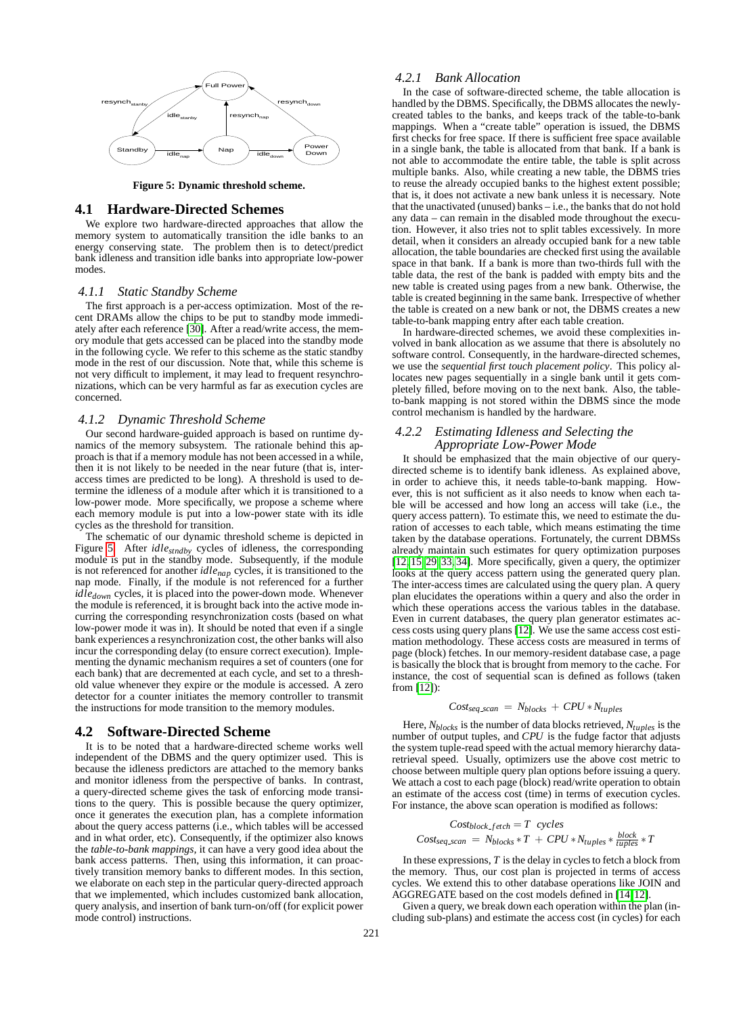

<span id="page-3-0"></span>**Figure 5: Dynamic threshold scheme.**

#### <span id="page-3-1"></span>**4.1 Hardware-Directed Schemes**

We explore two hardware-directed approaches that allow the memory system to automatically transition the idle banks to an energy conserving state. The problem then is to detect/predict bank idleness and transition idle banks into appropriate low-power modes.

#### *4.1.1 Static Standby Scheme*

The first approach is a per-access optimization. Most of the recent DRAMs allow the chips to be put to standby mode immediately after each reference [\[30\]](#page-9-27). After a read/write access, the memory module that gets accessed can be placed into the standby mode in the following cycle. We refer to this scheme as the static standby mode in the rest of our discussion. Note that, while this scheme is not very difficult to implement, it may lead to frequent resynchronizations, which can be very harmful as far as execution cycles are concerned.

#### *4.1.2 Dynamic Threshold Scheme*

Our second hardware-guided approach is based on runtime dynamics of the memory subsystem. The rationale behind this approach is that if a memory module has not been accessed in a while, then it is not likely to be needed in the near future (that is, interaccess times are predicted to be long). A threshold is used to determine the idleness of a module after which it is transitioned to a low-power mode. More specifically, we propose a scheme where each memory module is put into a low-power state with its idle cycles as the threshold for transition.

The schematic of our dynamic threshold scheme is depicted in Figure [5.](#page-3-0) After *idlestndby* cycles of idleness, the corresponding module is put in the standby mode. Subsequently, if the module is not referenced for another *idlenap* cycles, it is transitioned to the nap mode. Finally, if the module is not referenced for a further *idledown* cycles, it is placed into the power-down mode. Whenever the module is referenced, it is brought back into the active mode incurring the corresponding resynchronization costs (based on what low-power mode it was in). It should be noted that even if a single bank experiences a resynchronization cost, the other banks will also incur the corresponding delay (to ensure correct execution). Implementing the dynamic mechanism requires a set of counters (one for each bank) that are decremented at each cycle, and set to a threshold value whenever they expire or the module is accessed. A zero detector for a counter initiates the memory controller to transmit the instructions for mode transition to the memory modules.

### <span id="page-3-3"></span>**4.2 Software-Directed Scheme**

It is to be noted that a hardware-directed scheme works well independent of the DBMS and the query optimizer used. This is because the idleness predictors are attached to the memory banks and monitor idleness from the perspective of banks. In contrast, a query-directed scheme gives the task of enforcing mode transitions to the query. This is possible because the query optimizer, once it generates the execution plan, has a complete information about the query access patterns (i.e., which tables will be accessed and in what order, etc). Consequently, if the optimizer also knows the *table-to-bank mappings,* it can have a very good idea about the bank access patterns. Then, using this information, it can proactively transition memory banks to different modes. In this section, we elaborate on each step in the particular query-directed approach that we implemented, which includes customized bank allocation, query analysis, and insertion of bank turn-on/off (for explicit power mode control) instructions.

### *4.2.1 Bank Allocation*

In the case of software-directed scheme, the table allocation is handled by the DBMS. Specifically, the DBMS allocates the newlycreated tables to the banks, and keeps track of the table-to-bank mappings. When a "create table" operation is issued, the DBMS first checks for free space. If there is sufficient free space available in a single bank, the table is allocated from that bank. If a bank is not able to accommodate the entire table, the table is split across multiple banks. Also, while creating a new table, the DBMS tries to reuse the already occupied banks to the highest extent possible; that is, it does not activate a new bank unless it is necessary. Note that the unactivated (unused) banks – i.e., the banks that do not hold any data – can remain in the disabled mode throughout the execution. However, it also tries not to split tables excessively. In more detail, when it considers an already occupied bank for a new table allocation, the table boundaries are checked first using the available space in that bank. If a bank is more than two-thirds full with the table data, the rest of the bank is padded with empty bits and the new table is created using pages from a new bank. Otherwise, the table is created beginning in the same bank. Irrespective of whether the table is created on a new bank or not, the DBMS creates a new table-to-bank mapping entry after each table creation.

In hardware-directed schemes, we avoid these complexities involved in bank allocation as we assume that there is absolutely no software control. Consequently, in the hardware-directed schemes, we use the *sequential first touch placement policy*. This policy allocates new pages sequentially in a single bank until it gets completely filled, before moving on to the next bank. Also, the tableto-bank mapping is not stored within the DBMS since the mode control mechanism is handled by the hardware.

### <span id="page-3-2"></span>*4.2.2 Estimating Idleness and Selecting the Appropriate Low-Power Mode*

It should be emphasized that the main objective of our querydirected scheme is to identify bank idleness. As explained above, in order to achieve this, it needs table-to-bank mapping. However, this is not sufficient as it also needs to know when each table will be accessed and how long an access will take (i.e., the query access pattern). To estimate this, we need to estimate the duration of accesses to each table, which means estimating the time taken by the database operations. Fortunately, the current DBMSs already maintain such estimates for query optimization purposes [\[12,](#page-9-28) [15,](#page-9-29) [29,](#page-9-30) [33,](#page-9-31) [34\]](#page-9-32). More specifically, given a query, the optimizer looks at the query access pattern using the generated query plan. The inter-access times are calculated using the query plan. A query plan elucidates the operations within a query and also the order in which these operations access the various tables in the database. Even in current databases, the query plan generator estimates access costs using query plans [\[12\]](#page-9-28). We use the same access cost estimation methodology. These access costs are measured in terms of page (block) fetches. In our memory-resident database case, a page is basically the block that is brought from memory to the cache. For instance, the cost of sequential scan is defined as follows (taken from [\[12\]](#page-9-28)):

$$
Cost_{seq\_scan} = N_{blocks} + CPU * N_{tuples}
$$

Here, *Nblocks* is the number of data blocks retrieved, *Ntuples* is the number of output tuples, and *CPU* is the fudge factor that adjusts the system tuple-read speed with the actual memory hierarchy dataretrieval speed. Usually, optimizers use the above cost metric to choose between multiple query plan options before issuing a query. We attach a cost to each page (block) read/write operation to obtain an estimate of the access cost (time) in terms of execution cycles. For instance, the above scan operation is modified as follows:

$$
Cost_{block\_fetch} = T \ cycles
$$
  

$$
Cost_{seq\_scan} = N_{blocks} * T + CPU * N_{tuples} * \frac{block}{tuples} * T
$$

In these expressions, *T* is the delay in cycles to fetch a block from the memory. Thus, our cost plan is projected in terms of access cycles. We extend this to other database operations like JOIN and AGGREGATE based on the cost models defined in [\[14,](#page-9-33) [12\]](#page-9-28).

Given a query, we break down each operation within the plan (including sub-plans) and estimate the access cost (in cycles) for each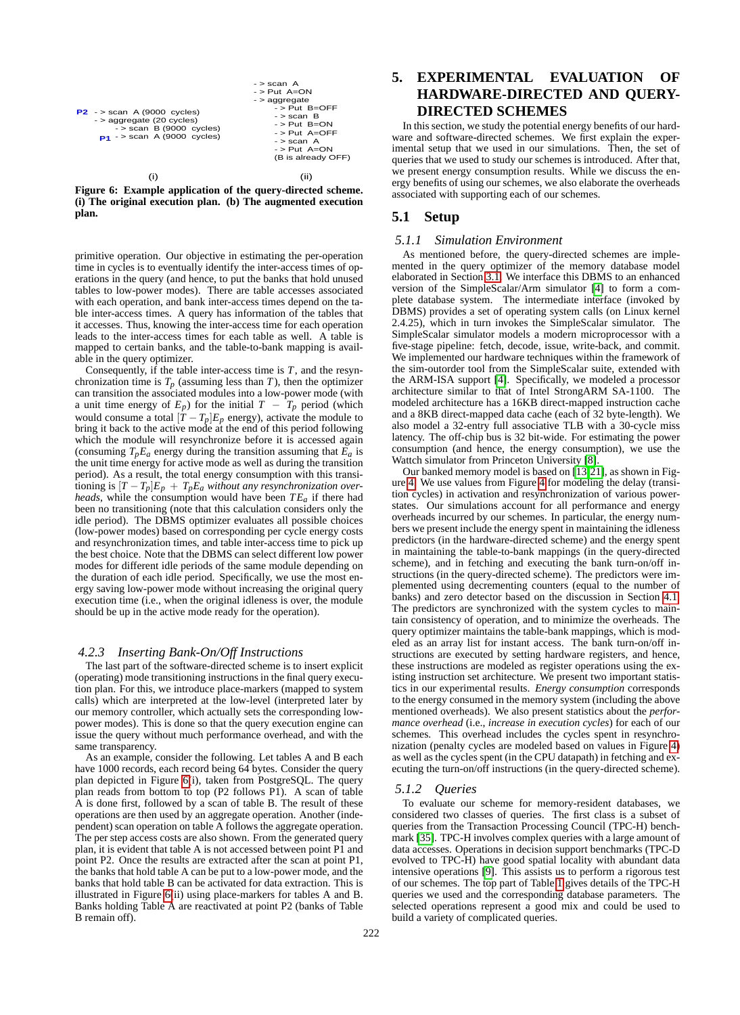

 $-$  > scan  $A$ 

<span id="page-4-1"></span>**Figure 6: Example application of the query-directed scheme. (i) The original execution plan. (b) The augmented execution plan.**

primitive operation. Our objective in estimating the per-operation time in cycles is to eventually identify the inter-access times of operations in the query (and hence, to put the banks that hold unused tables to low-power modes). There are table accesses associated with each operation, and bank inter-access times depend on the table inter-access times. A query has information of the tables that it accesses. Thus, knowing the inter-access time for each operation leads to the inter-access times for each table as well. A table is mapped to certain banks, and the table-to-bank mapping is available in the query optimizer.

Consequently, if the table inter-access time is *T*, and the resynchronization time is  $T_p$  (assuming less than *T*), then the optimizer can transition the associated modules into a low-power mode (with a unit time energy of  $E_p$ ) for the initial  $T - T_p$  period (which would consume a total  $[T - T_p]E_p$  energy), activate the module to bring it back to the active mode at the end of this period following which the module will resynchronize before it is accessed again (consuming  $T_p E_a$  energy during the transition assuming that  $E_a$  is the unit time energy for active mode as well as during the transition period). As a result, the total energy consumption with this transitioning is  $[T - T_p]E_p + T_pE_a$  *without any resynchronization overheads*, while the consumption would have been *T Ea* if there had been no transitioning (note that this calculation considers only the idle period). The DBMS optimizer evaluates all possible choices (low-power modes) based on corresponding per cycle energy costs and resynchronization times, and table inter-access time to pick up the best choice. Note that the DBMS can select different low power modes for different idle periods of the same module depending on the duration of each idle period. Specifically, we use the most energy saving low-power mode without increasing the original query execution time (i.e., when the original idleness is over, the module should be up in the active mode ready for the operation).

### <span id="page-4-2"></span>*4.2.3 Inserting Bank-On/Off Instructions*

The last part of the software-directed scheme is to insert explicit (operating) mode transitioning instructions in the final query execution plan. For this, we introduce place-markers (mapped to system calls) which are interpreted at the low-level (interpreted later by our memory controller, which actually sets the corresponding lowpower modes). This is done so that the query execution engine can issue the query without much performance overhead, and with the same transparency.

As an example, consider the following. Let tables A and B each have 1000 records, each record being 64 bytes. Consider the query plan depicted in Figure [6\(](#page-4-1)i), taken from PostgreSQL. The query plan reads from bottom to top (P2 follows P1). A scan of table A is done first, followed by a scan of table B. The result of these operations are then used by an aggregate operation. Another (independent) scan operation on table A follows the aggregate operation. The per step access costs are also shown. From the generated query plan, it is evident that table A is not accessed between point P1 and point P2. Once the results are extracted after the scan at point P1, the banks that hold table A can be put to a low-power mode, and the banks that hold table B can be activated for data extraction. This is illustrated in Figure [6\(](#page-4-1)ii) using place-markers for tables A and B. Banks holding Table A are reactivated at point P2 (banks of Table B remain off).

# <span id="page-4-0"></span>**5. EXPERIMENTAL EVALUATION OF HARDWARE-DIRECTED AND QUERY-DIRECTED SCHEMES**

In this section, we study the potential energy benefits of our hardware and software-directed schemes. We first explain the experimental setup that we used in our simulations. Then, the set of queries that we used to study our schemes is introduced. After that, we present energy consumption results. While we discuss the energy benefits of using our schemes, we also elaborate the overheads associated with supporting each of our schemes.

# **5.1 Setup**

# *5.1.1 Simulation Environment*

As mentioned before, the query-directed schemes are implemented in the query optimizer of the memory database model elaborated in Section [3.1.](#page-1-4) We interface this DBMS to an enhanced version of the SimpleScalar/Arm simulator [\[4\]](#page-9-34) to form a complete database system. The intermediate interface (invoked by DBMS) provides a set of operating system calls (on Linux kernel 2.4.25), which in turn invokes the SimpleScalar simulator. The SimpleScalar simulator models a modern microprocessor with a five-stage pipeline: fetch, decode, issue, write-back, and commit. We implemented our hardware techniques within the framework of the sim-outorder tool from the SimpleScalar suite, extended with the ARM-ISA support [\[4\]](#page-9-34). Specifically, we modeled a processor architecture similar to that of Intel StrongARM SA-1100. The modeled architecture has a 16KB direct-mapped instruction cache and a 8KB direct-mapped data cache (each of 32 byte-length). We also model a 32-entry full associative TLB with a 30-cycle miss latency. The off-chip bus is 32 bit-wide. For estimating the power consumption (and hence, the energy consumption), we use the Wattch simulator from Princeton University [\[8\]](#page-9-35).

Our banked memory model is based on [\[13,](#page-9-36)[21\]](#page-9-37), as shown in Figure [4.](#page-2-4) We use values from Figure [4](#page-2-4) for modeling the delay (transition cycles) in activation and resynchronization of various powerstates. Our simulations account for all performance and energy overheads incurred by our schemes. In particular, the energy numbers we present include the energy spent in maintaining the idleness predictors (in the hardware-directed scheme) and the energy spent in maintaining the table-to-bank mappings (in the query-directed scheme), and in fetching and executing the bank turn-on/off instructions (in the query-directed scheme). The predictors were implemented using decrementing counters (equal to the number of banks) and zero detector based on the discussion in Section [4.1.](#page-3-1) The predictors are synchronized with the system cycles to maintain consistency of operation, and to minimize the overheads. The query optimizer maintains the table-bank mappings, which is modeled as an array list for instant access. The bank turn-on/off instructions are executed by setting hardware registers, and hence, these instructions are modeled as register operations using the existing instruction set architecture. We present two important statistics in our experimental results. *Energy consumption* corresponds to the energy consumed in the memory system (including the above mentioned overheads). We also present statistics about the *performance overhead* (i.e., *increase in execution cycles*) for each of our schemes. This overhead includes the cycles spent in resynchronization (penalty cycles are modeled based on values in Figure [4\)](#page-2-4) as well as the cycles spent (in the CPU datapath) in fetching and executing the turn-on/off instructions (in the query-directed scheme).

# <span id="page-4-3"></span>*5.1.2 Queries*

To evaluate our scheme for memory-resident databases, we considered two classes of queries. The first class is a subset of queries from the Transaction Processing Council (TPC-H) benchmark [\[35\]](#page-9-38). TPC-H involves complex queries with a large amount of data accesses. Operations in decision support benchmarks (TPC-D evolved to TPC-H) have good spatial locality with abundant data intensive operations [\[9\]](#page-9-39). This assists us to perform a rigorous test of our schemes. The top part of Table [1](#page-5-0) gives details of the TPC-H queries we used and the corresponding database parameters. The selected operations represent a good mix and could be used to build a variety of complicated queries.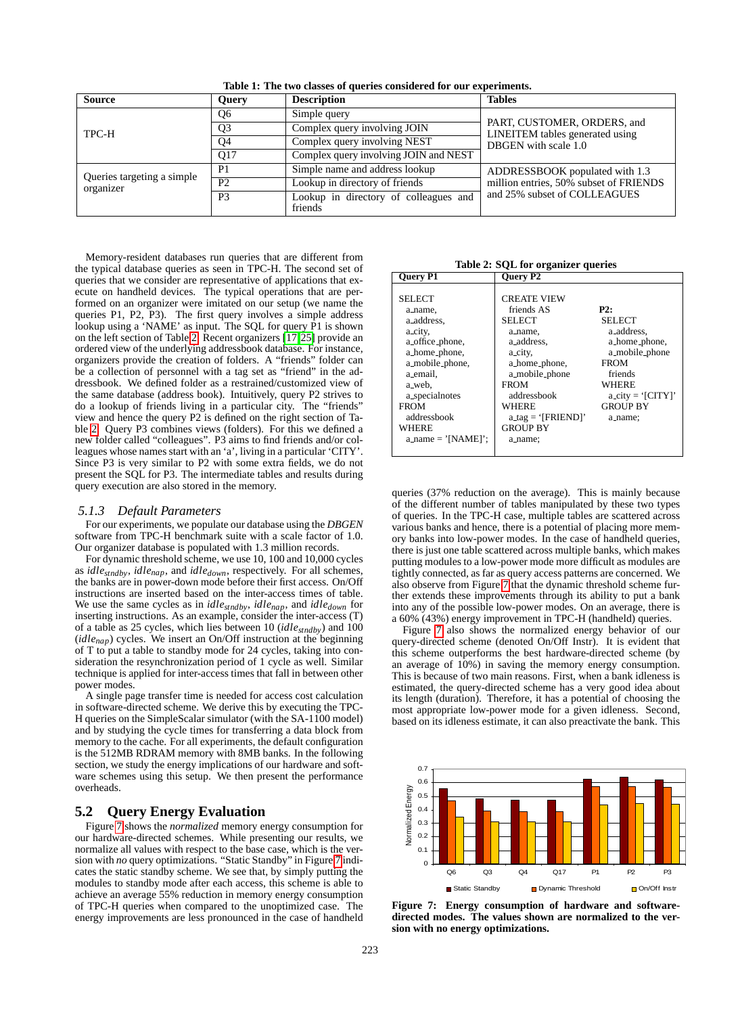| <b>Source</b>                           | <b>Query</b>   | <b>Description</b>                               | <b>Tables</b>                                                                          |  |
|-----------------------------------------|----------------|--------------------------------------------------|----------------------------------------------------------------------------------------|--|
| TPC-H                                   | Q <sub>6</sub> | Simple query                                     | PART, CUSTOMER, ORDERS, and<br>LINEITEM tables generated using<br>DBGEN with scale 1.0 |  |
|                                         | Q <sub>3</sub> | Complex query involving JOIN                     |                                                                                        |  |
|                                         | Q <sub>4</sub> | Complex query involving NEST                     |                                                                                        |  |
|                                         | Q17            | Complex query involving JOIN and NEST            |                                                                                        |  |
| Queries targeting a simple<br>organizer | P <sub>1</sub> | Simple name and address lookup                   | ADDRESSBOOK populated with 1.3                                                         |  |
|                                         | P <sub>2</sub> | Lookup in directory of friends                   | million entries, 50% subset of FRIENDS                                                 |  |
|                                         | P <sub>3</sub> | Lookup in directory of colleagues and<br>friends | and 25% subset of COLLEAGUES                                                           |  |

<span id="page-5-0"></span>**Table 1: The two classes of queries considered for our experiments.**

Memory-resident databases run queries that are different from the typical database queries as seen in TPC-H. The second set of queries that we consider are representative of applications that execute on handheld devices. The typical operations that are performed on an organizer were imitated on our setup (we name the queries P1, P2, P3). The first query involves a simple address lookup using a 'NAME' as input. The SQL for query P1 is shown on the left section of Table [2.](#page-5-1) Recent organizers [\[17,](#page-9-40)[25\]](#page-9-41) provide an ordered view of the underlying addressbook database. For instance, organizers provide the creation of folders. A "friends" folder can be a collection of personnel with a tag set as "friend" in the addressbook. We defined folder as a restrained/customized view of the same database (address book). Intuitively, query P2 strives to do a lookup of friends living in a particular city. The "friends" view and hence the query P2 is defined on the right section of Table [2.](#page-5-1) Query P3 combines views (folders). For this we defined a new folder called "colleagues". P3 aims to find friends and/or colleagues whose names start with an 'a', living in a particular 'CITY'. Since P3 is very similar to P2 with some extra fields, we do not present the SQL for P3. The intermediate tables and results during query execution are also stored in the memory.

#### *5.1.3 Default Parameters*

For our experiments, we populate our database using the *DBGEN* software from TPC-H benchmark suite with a scale factor of 1.0. Our organizer database is populated with 1.3 million records.

For dynamic threshold scheme, we use 10, 100 and 10,000 cycles as *idlestndby*, *idlenap*, and *idledown*, respectively. For all schemes, the banks are in power-down mode before their first access. On/Off instructions are inserted based on the inter-access times of table. We use the same cycles as in *idlestndby*, *idlenap*, and *idledown* for inserting instructions. As an example, consider the inter-access (T) of a table as 25 cycles, which lies between 10 (*idlestndby*) and 100 (*idlenap*) cycles. We insert an On/Off instruction at the beginning of T to put a table to standby mode for 24 cycles, taking into consideration the resynchronization period of 1 cycle as well. Similar technique is applied for inter-access times that fall in between other power modes.

A single page transfer time is needed for access cost calculation in software-directed scheme. We derive this by executing the TPC-H queries on the SimpleScalar simulator (with the SA-1100 model) and by studying the cycle times for transferring a data block from memory to the cache. For all experiments, the default configuration is the 512MB RDRAM memory with 8MB banks. In the following section, we study the energy implications of our hardware and software schemes using this setup. We then present the performance overheads.

# **5.2 Query Energy Evaluation**

Figure [7](#page-5-2) shows the *normalized* memory energy consumption for our hardware-directed schemes. While presenting our results, we normalize all values with respect to the base case, which is the version with *no* query optimizations. "Static Standby" in Figure [7](#page-5-2) indicates the static standby scheme. We see that, by simply putting the modules to standby mode after each access, this scheme is able to achieve an average 55% reduction in memory energy consumption of TPC-H queries when compared to the unoptimized case. The energy improvements are less pronounced in the case of handheld

<span id="page-5-1"></span>**Table 2: SQL for organizer queries**

queries (37% reduction on the average). This is mainly because of the different number of tables manipulated by these two types of queries. In the TPC-H case, multiple tables are scattered across various banks and hence, there is a potential of placing more memory banks into low-power modes. In the case of handheld queries, there is just one table scattered across multiple banks, which makes putting modules to a low-power mode more difficult as modules are tightly connected, as far as query access patterns are concerned. We also observe from Figure [7](#page-5-2) that the dynamic threshold scheme further extends these improvements through its ability to put a bank into any of the possible low-power modes. On an average, there is a 60% (43%) energy improvement in TPC-H (handheld) queries.

Figure [7](#page-5-2) also shows the normalized energy behavior of our query-directed scheme (denoted On/Off Instr). It is evident that this scheme outperforms the best hardware-directed scheme (by an average of 10%) in saving the memory energy consumption. This is because of two main reasons. First, when a bank idleness is estimated, the query-directed scheme has a very good idea about its length (duration). Therefore, it has a potential of choosing the most appropriate low-power mode for a given idleness. Second, based on its idleness estimate, it can also preactivate the bank. This



<span id="page-5-2"></span>**Figure 7: Energy consumption of hardware and softwaredirected modes. The values shown are normalized to the version with no energy optimizations.**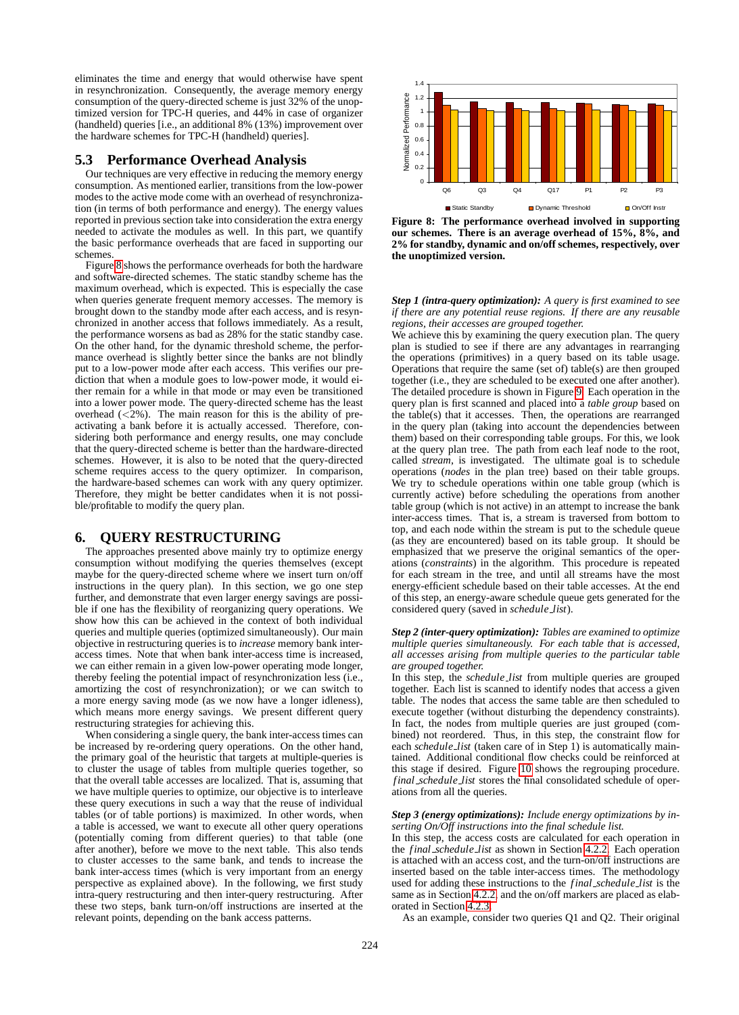eliminates the time and energy that would otherwise have spent in resynchronization. Consequently, the average memory energy consumption of the query-directed scheme is just 32% of the unoptimized version for TPC-H queries, and 44% in case of organizer (handheld) queries [i.e., an additional 8% (13%) improvement over the hardware schemes for TPC-H (handheld) queries].

# **5.3 Performance Overhead Analysis**

Our techniques are very effective in reducing the memory energy consumption. As mentioned earlier, transitions from the low-power modes to the active mode come with an overhead of resynchronization (in terms of both performance and energy). The energy values reported in previous section take into consideration the extra energy needed to activate the modules as well. In this part, we quantify the basic performance overheads that are faced in supporting our schemes.

Figure [8](#page-6-1) shows the performance overheads for both the hardware and software-directed schemes. The static standby scheme has the maximum overhead, which is expected. This is especially the case when queries generate frequent memory accesses. The memory is brought down to the standby mode after each access, and is resynchronized in another access that follows immediately. As a result, the performance worsens as bad as 28% for the static standby case. On the other hand, for the dynamic threshold scheme, the performance overhead is slightly better since the banks are not blindly put to a low-power mode after each access. This verifies our prediction that when a module goes to low-power mode, it would either remain for a while in that mode or may even be transitioned into a lower power mode. The query-directed scheme has the least overhead  $( $2\%$ ). The main reason for this is the ability of pre$ activating a bank before it is actually accessed. Therefore, considering both performance and energy results, one may conclude that the query-directed scheme is better than the hardware-directed schemes. However, it is also to be noted that the query-directed scheme requires access to the query optimizer. In comparison, the hardware-based schemes can work with any query optimizer. Therefore, they might be better candidates when it is not possible/profitable to modify the query plan.

# **6. QUERY RESTRUCTURING**

<span id="page-6-0"></span>The approaches presented above mainly try to optimize energy consumption without modifying the queries themselves (except maybe for the query-directed scheme where we insert turn on/off instructions in the query plan). In this section, we go one step further, and demonstrate that even larger energy savings are possible if one has the flexibility of reorganizing query operations. We show how this can be achieved in the context of both individual queries and multiple queries (optimized simultaneously). Our main objective in restructuring queries is to *increase* memory bank interaccess times. Note that when bank inter-access time is increased, we can either remain in a given low-power operating mode longer, thereby feeling the potential impact of resynchronization less (i.e., amortizing the cost of resynchronization); or we can switch to a more energy saving mode (as we now have a longer idleness), which means more energy savings. We present different query restructuring strategies for achieving this.

When considering a single query, the bank inter-access times can be increased by re-ordering query operations. On the other hand, the primary goal of the heuristic that targets at multiple-queries is to cluster the usage of tables from multiple queries together, so that the overall table accesses are localized. That is, assuming that we have multiple queries to optimize, our objective is to interleave these query executions in such a way that the reuse of individual tables (or of table portions) is maximized. In other words, when a table is accessed, we want to execute all other query operations (potentially coming from different queries) to that table (one after another), before we move to the next table. This also tends to cluster accesses to the same bank, and tends to increase the bank inter-access times (which is very important from an energy perspective as explained above). In the following, we first study intra-query restructuring and then inter-query restructuring. After these two steps, bank turn-on/off instructions are inserted at the relevant points, depending on the bank access patterns.



<span id="page-6-1"></span>**Figure 8: The performance overhead involved in supporting our schemes. There is an average overhead of 15%, 8%, and 2% for standby, dynamic and on/off schemes, respectively, over the unoptimized version.**

*Step 1 (intra-query optimization): A query is first examined to see if there are any potential reuse regions. If there are any reusable regions, their accesses are grouped together.*

We achieve this by examining the query execution plan. The query plan is studied to see if there are any advantages in rearranging the operations (primitives) in a query based on its table usage. Operations that require the same (set of) table(s) are then grouped together (i.e., they are scheduled to be executed one after another). The detailed procedure is shown in Figure [9.](#page-7-1) Each operation in the query plan is first scanned and placed into a *table group* based on the table(s) that it accesses. Then, the operations are rearranged in the query plan (taking into account the dependencies between them) based on their corresponding table groups. For this, we look at the query plan tree. The path from each leaf node to the root, called *stream*, is investigated. The ultimate goal is to schedule operations (*nodes* in the plan tree) based on their table groups. We try to schedule operations within one table group (which is currently active) before scheduling the operations from another table group (which is not active) in an attempt to increase the bank inter-access times. That is, a stream is traversed from bottom to top, and each node within the stream is put to the schedule queue (as they are encountered) based on its table group. It should be emphasized that we preserve the original semantics of the operations (*constraints*) in the algorithm. This procedure is repeated for each stream in the tree, and until all streams have the most energy-efficient schedule based on their table accesses. At the end of this step, an energy-aware schedule queue gets generated for the considered query (saved in *schedule list*).

#### *Step 2 (inter-query optimization): Tables are examined to optimize multiple queries simultaneously. For each table that is accessed, all accesses arising from multiple queries to the particular table are grouped together.*

In this step, the *schedule list* from multiple queries are grouped together. Each list is scanned to identify nodes that access a given table. The nodes that access the same table are then scheduled to execute together (without disturbing the dependency constraints). In fact, the nodes from multiple queries are just grouped (combined) not reordered. Thus, in this step, the constraint flow for each *schedule list* (taken care of in Step 1) is automatically maintained. Additional conditional flow checks could be reinforced at this stage if desired. Figure [10](#page-7-2) shows the regrouping procedure. *f inal schedule list* stores the final consolidated schedule of operations from all the queries.

#### *Step 3 (energy optimizations): Include energy optimizations by inserting On/Off instructions into the final schedule list.*

In this step, the access costs are calculated for each operation in the *f inal schedule list* as shown in Section [4.2.2.](#page-3-2) Each operation is attached with an access cost, and the turn-on/off instructions are inserted based on the table inter-access times. The methodology used for adding these instructions to the *f inal schedule list* is the same as in Section [4.2.2,](#page-3-2) and the on/off markers are placed as elaborated in Section [4.2.3.](#page-4-2)

As an example, consider two queries Q1 and Q2. Their original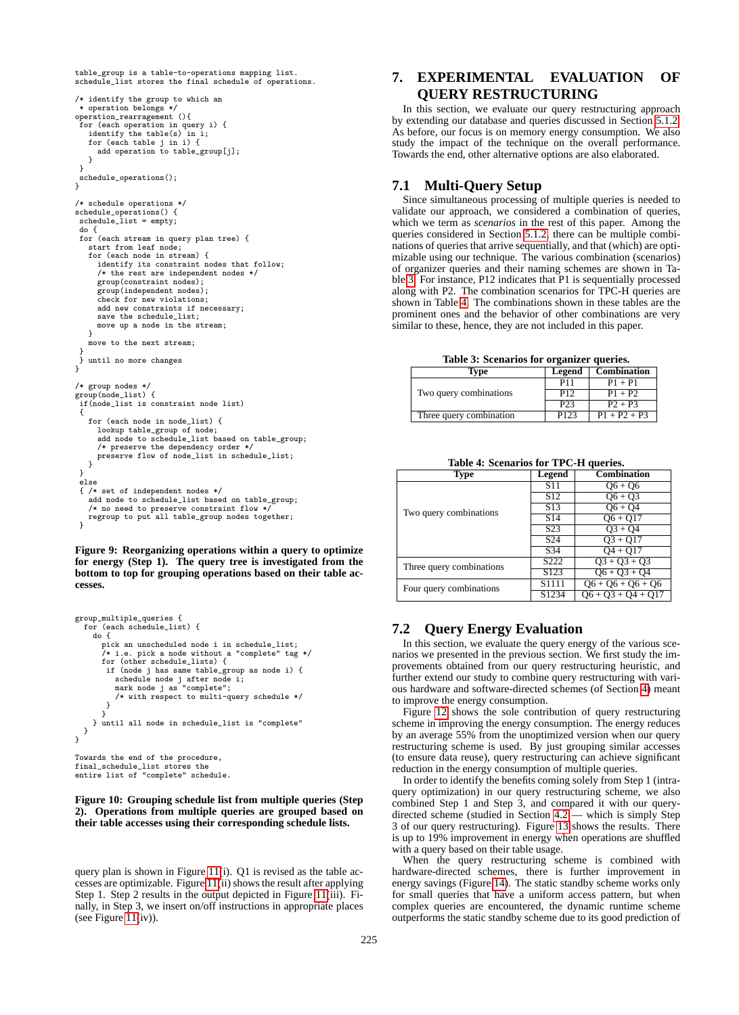```
table_group is a table-to-operations mapping list.
schedule_list stores the final schedule of operations.
/* identify the group to which an
* operation belongs */
operation_rearragement (){
 for (each operation in query i) {
   identify the table(s) in i;
   for (each table j in i) {
add operation to table_group[j];
   }
 }
schedule_operations();
}
/* schedule operations */
schedule_operations() {
 schedule_list = empty;
 do {
 for (each stream in query plan tree) {
   start from leaf node;
   for (each node in stream) {
      identify its constraint nodes that follow;
     /* the rest are independent nodes */
     group(constraint nodes);
     group(independent nodes);
     check for new violations;
     add new constraints if necessary;
     save the schedule_list;
     move up a node in the stream;
   }
   move to the next stream;
 }<br>}
   until no more changes
}
/* group nodes */
group(node_list) {
 if(node_list is constraint node list)
 {
   for (each node in node list) {
     lookup table_group of node;
     add node to schedule_list based on table_group;
      /* preserve the dependency order */
     preserve flow of node_list in schedule_list;
   }
 }
 else
 { /* set of independent nodes */
   add node to schedule_list based on table_group;
   /* no need to preserve constraint flow \overline{\phantom{a}}regroup to put all table_group nodes together;
 }
```
<span id="page-7-1"></span>**Figure 9: Reorganizing operations within a query to optimize for energy (Step 1). The query tree is investigated from the bottom to top for grouping operations based on their table accesses.**

```
group_multiple_queries {
  for (each schedule_list) {
    do {
       pick an unscheduled node i in schedule_list;
/* i.e. pick a node without a "complete" tag */
       for (other schedule_lists) {
         if (node j has same table_group as node i) {
schedule node j after node i;
           mark node j as "complete";
           /* with respect to multi-query schedule */
        }
     }
} until all node in schedule_list is "complete"
  }
}
Towards the end of the procedure,
```
final\_schedule\_list stores the entire list of "complete" schedule.

#### <span id="page-7-2"></span>**Figure 10: Grouping schedule list from multiple queries (Step 2). Operations from multiple queries are grouped based on their table accesses using their corresponding schedule lists.**

query plan is shown in Figure [11\(](#page-8-0)i). Q1 is revised as the table accesses are optimizable. Figure [11\(](#page-8-0)ii) shows the result after applying Step 1. Step 2 results in the output depicted in Figure [11\(](#page-8-0)iii). Finally, in Step 3, we insert on/off instructions in appropriate places (see Figure  $11(iv)$ ).

# <span id="page-7-0"></span>**7. EXPERIMENTAL EVALUATION OF QUERY RESTRUCTURING**

In this section, we evaluate our query restructuring approach by extending our database and queries discussed in Section [5.1.2.](#page-4-3) As before, our focus is on memory energy consumption. We also study the impact of the technique on the overall performance. Towards the end, other alternative options are also elaborated.

# **7.1 Multi-Query Setup**

Since simultaneous processing of multiple queries is needed to validate our approach, we considered a combination of queries, which we term as *scenarios* in the rest of this paper. Among the queries considered in Section [5.1.2,](#page-4-3) there can be multiple combinations of queries that arrive sequentially, and that (which) are optimizable using our technique. The various combination (scenarios) of organizer queries and their naming schemes are shown in Table [3.](#page-7-3) For instance, P12 indicates that P1 is sequentially processed along with P2. The combination scenarios for TPC-H queries are shown in Table [4.](#page-7-4) The combinations shown in these tables are the prominent ones and the behavior of other combinations are very similar to these, hence, they are not included in this paper.

<span id="page-7-3"></span>**Table 3: Scenarios for organizer queries.**

| Lvpe                    | Legend          | <b>Combination</b> |
|-------------------------|-----------------|--------------------|
|                         | P11             | $P1 + P1$          |
| Two query combinations  | P12             | $P1 + P2$          |
|                         | P <sub>23</sub> | $P2 + P3$          |
| Three query combination | P123            | $P1 + P2 + P3$     |

<span id="page-7-4"></span>**Table 4: Scenarios for TPC-H queries.**

| <b>Type</b>              | Legend            | <b>Combination</b>   |
|--------------------------|-------------------|----------------------|
|                          | S <sub>11</sub>   | $Q6 + Q6$            |
|                          | S <sub>12</sub>   | $\overline{06+03}$   |
| Two query combinations   | S <sub>13</sub>   | $06 + 04$            |
|                          | S <sub>14</sub>   | $06 + 017$           |
|                          | S <sub>23</sub>   | $O_3 + O_4$          |
|                          | S <sub>24</sub>   | $O3 + O17$           |
|                          | S34               | $O4 + O17$           |
| Three query combinations | S <sub>222</sub>  | $Q3 + Q3 + Q3$       |
|                          | S <sub>123</sub>  | $Q6 + Q3 + Q4$       |
| Four query combinations  | S <sub>1111</sub> | $Q6 + Q6 + Q6 + Q6$  |
|                          | S <sub>1234</sub> | $06 + 03 + 04 + 017$ |

# **7.2 Query Energy Evaluation**

In this section, we evaluate the query energy of the various scenarios we presented in the previous section. We first study the improvements obtained from our query restructuring heuristic, and further extend our study to combine query restructuring with various hardware and software-directed schemes (of Section [4\)](#page-2-5) meant to improve the energy consumption.

Figure [12](#page-8-1) shows the sole contribution of query restructuring scheme in improving the energy consumption. The energy reduces by an average 55% from the unoptimized version when our query restructuring scheme is used. By just grouping similar accesses (to ensure data reuse), query restructuring can achieve significant reduction in the energy consumption of multiple queries.

In order to identify the benefits coming solely from Step 1 (intraquery optimization) in our query restructuring scheme, we also combined Step 1 and Step 3, and compared it with our querydirected scheme (studied in Section [4.2](#page-3-3) — which is simply Step 3 of our query restructuring). Figure [13](#page-8-2) shows the results. There is up to 19% improvement in energy when operations are shuffled with a query based on their table usage.

When the query restructuring scheme is combined with hardware-directed schemes, there is further improvement in energy savings (Figure [14\)](#page-8-3). The static standby scheme works only for small queries that have a uniform access pattern, but when complex queries are encountered, the dynamic runtime scheme outperforms the static standby scheme due to its good prediction of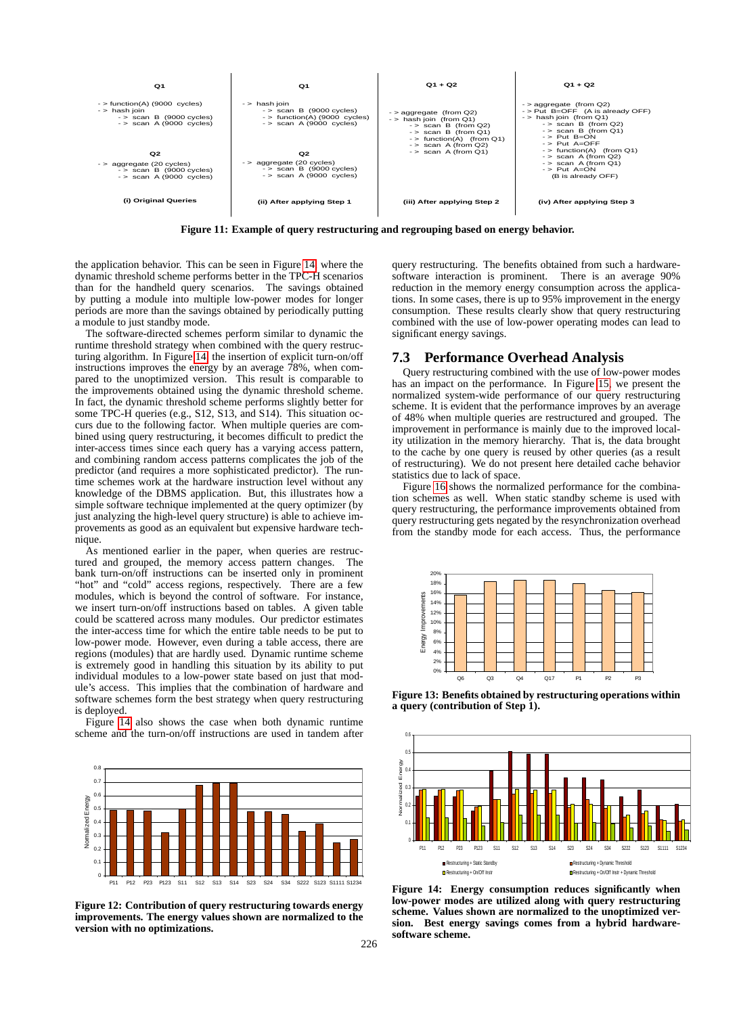

<span id="page-8-0"></span>**Figure 11: Example of query restructuring and regrouping based on energy behavior.**

the application behavior. This can be seen in Figure [14,](#page-8-4) where the dynamic threshold scheme performs better in the TPC-H scenarios than for the handheld query scenarios. The savings obtained by putting a module into multiple low-power modes for longer periods are more than the savings obtained by periodically putting a module to just standby mode.

The software-directed schemes perform similar to dynamic the runtime threshold strategy when combined with the query restructuring algorithm. In Figure [14,](#page-8-4) the insertion of explicit turn-on/off instructions improves the energy by an average 78%, when compared to the unoptimized version. This result is comparable to the improvements obtained using the dynamic threshold scheme. In fact, the dynamic threshold scheme performs slightly better for some TPC-H queries (e.g., S12, S13, and S14). This situation occurs due to the following factor. When multiple queries are combined using query restructuring, it becomes difficult to predict the inter-access times since each query has a varying access pattern, and combining random access patterns complicates the job of the predictor (and requires a more sophisticated predictor). The runtime schemes work at the hardware instruction level without any knowledge of the DBMS application. But, this illustrates how a simple software technique implemented at the query optimizer (by just analyzing the high-level query structure) is able to achieve improvements as good as an equivalent but expensive hardware technique.

As mentioned earlier in the paper, when queries are restructured and grouped, the memory access pattern changes. The bank turn-on/off instructions can be inserted only in prominent "hot" and "cold" access regions, respectively. There are a few modules, which is beyond the control of software. For instance, we insert turn-on/off instructions based on tables. A given table could be scattered across many modules. Our predictor estimates the inter-access time for which the entire table needs to be put to low-power mode. However, even during a table access, there are regions (modules) that are hardly used. Dynamic runtime scheme is extremely good in handling this situation by its ability to put individual modules to a low-power state based on just that module's access. This implies that the combination of hardware and software schemes form the best strategy when query restructuring is deployed.

Figure [14](#page-8-4) also shows the case when both dynamic runtime scheme and the turn-on/off instructions are used in tandem after



<span id="page-8-1"></span>**Figure 12: Contribution of query restructuring towards energy improvements. The energy values shown are normalized to the version with no optimizations.**

query restructuring. The benefits obtained from such a hardwaresoftware interaction is prominent. There is an average 90% reduction in the memory energy consumption across the applications. In some cases, there is up to 95% improvement in the energy consumption. These results clearly show that query restructuring combined with the use of low-power operating modes can lead to significant energy savings.

# **7.3 Performance Overhead Analysis**

Query restructuring combined with the use of low-power modes has an impact on the performance. In Figure [15,](#page-9-42) we present the normalized system-wide performance of our query restructuring scheme. It is evident that the performance improves by an average of 48% when multiple queries are restructured and grouped. The improvement in performance is mainly due to the improved locality utilization in the memory hierarchy. That is, the data brought to the cache by one query is reused by other queries (as a result of restructuring). We do not present here detailed cache behavior statistics due to lack of space.

Figure [16](#page-9-43) shows the normalized performance for the combination schemes as well. When static standby scheme is used with query restructuring, the performance improvements obtained from query restructuring gets negated by the resynchronization overhead from the standby mode for each access. Thus, the performance



<span id="page-8-2"></span>**Figure 13: Benefits obtained by restructuring operations within a query (contribution of Step 1).**



<span id="page-8-4"></span><span id="page-8-3"></span>**Figure 14: Energy consumption reduces significantly when low-power modes are utilized along with query restructuring scheme. Values shown are normalized to the unoptimized version. Best energy savings comes from a hybrid hardwaresoftware scheme.**